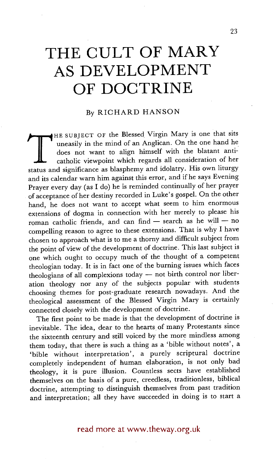## **THE CULT OF MARY AS DEVELOPMENT OF DOCTRINE**

## By RICHARD HANSON

The seed of the status in the mind of an Anglican. On the one hand he does not want to align himself with the blatant anti-<br>catholic viewpoint which regards all consideration of her<br>status and significance as blasphemy and HE SUBJECT OF the Blessed Virgin Mary is one that sits uneasily in the mind of an Anglican. On the one hand he does not want to align himself with the blatant anticatholic viewpoint which regards all consideration of her and its calendar warn him against this error, and if he says Evening Prayer every day (as I do) he is reminded continually of her prayer of acceptance of her destiny recorded in Luke's gospel. On the other hand, he does not want to accept what seem to him enormous extensions of dogma in connection with her merely to please his roman catholic friends, and can find - search as he will - no compelling reason to agree to these extensions. That is why I have chosen to approach what is to me a thorny and difficult subject from the point of view of the development of doctrine. This last subject is one which ought to occupy much of the thought of a competent theologian today. It is in fact one of the burning issues which faces theologians of all complexions today  $-$  not birth control nor liberation theology nor any of the subjects popular with students choosing themes for post-graduate research nowadays. And the theological assessment of the Blessed Virgin Mary is certainly connected closely with the development of doctrine.

The first point to be made is that the development of doctrine is inevitable. The idea, dear to the hearts of many Protestants since the sixteenth century and still voiced by the more mindless among them today, that there is such a thing as a 'bible without notes', a 'bible without interpretation', a purely scriptural doctrine completely independent of human elaboration, is not only bad theology, it is pure illusion. Countless sects have established themselves on the basis of a pure, creedless, traditionless, biblical doctrine, attempting to distinguish themselves from past tradition and interpretation; all they have succeeded in doing is to start a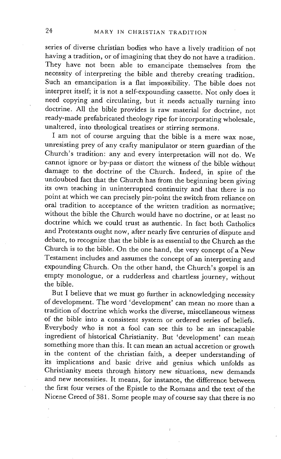series of diverse christian bodies who have a lively tradition of not having a tradition, or of imagining that they do not have a tradition. They have not been able to emancipate themselves from the necessity of interpreting the bible and thereby creating tradition. Such an emancipation is a flat impossibility. The bible does not interpret itself; it is not a self-expounding cassette. Not only does it need copying and circulating, but it needs actually turning into doctrine. All the bible provides is raw material for doctrine, not ready-made prefabricated theology ripe for incorporating wholesale, unaltered, into theological treatises or stirring sermons.

I am not of course arguing that the bible is a mere wax nose, unresisting prey of any crafty manipulator or stern guardian of the Church's tradition: any and every interpretation will not do. We cannot ignore or by-pass or distort the witness of the bible without damage to the doctrine of the Church. Indeed, in spite of the undoubted fact that the Church has from the beginning been giving its own teaching in uninterrupted continuity and that there is no point at which we can precisely pin-point the switch from reliance on oral tradition to acceptance of the written tradition as normative; without the bible the Church would have no doctrine, or at least no doctrine which we could trust as authentic. In fact both Catholics and Protestants ought now, after nearly five centuries of dispute and debate, to recognize that the bible is as essential to the Church as the Church is to the bible. On the one hand, the very concept of a New Testament includes and assumes the concept of an interpreting and expounding Church. On the other hand, the Church's gospel is an empty monologue, or a rudderless and chartless journey, without the bible.

But I believe that we must go further in acknowledging necessity of development. The word 'development' can mean no more than a tradition of doctrine which works the diverse, miscellaneous witness of the bible into a consistent system or ordered series of beliefs. Everybody who is not a fool can see this to be an inescapable ingredient of historical Christianity. But 'development' can mean something more than this. It can mean an actual accretion or growth in the content of the christian faith, a deeper understanding of its implications and basic drive arid genius which unfolds as Christianity meets through history new situations, new demands and new necessities. It means, for instance, the difference between the first four verses of the Epistle to the Romans and the text of the Nicene Creed of 381. Some people may of course say that there is no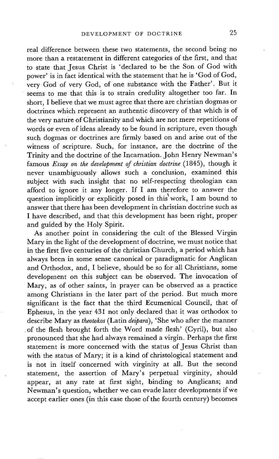real difference between these two statements, the second being no more than a restatement in different categories of the first, and that to state that Jesus Christ is 'declared to be the Son of God with power' is in fact identical with the statement that he is 'God of God, very God of very God, of one substance with the Father'. But it seems to me that this is to strain credulity altogether too far. In short, I believe that we must agree that there are christian dogmas or doctrines which represent an authentic discovery of that which is of the very nature of Christianity and which are not mere repetitions of words or even of ideas already to be found in scripture, even though such dogmas or doctrines are firmly based on and arise out of the witness of scripture. Such, for instance, are the doctrine of the Trinity and the doctrine of the Incarnation. John Henry Newman's famous *Essay on the development of christian doctrine* (1845), though it never unambiguously allows such a conclusion, examined this subject with such insight that no self-respecting theologian can afford to ignore it any longer. If I am therefore to answer the question implicitly or explicitly posed in this work, I am bound to answer that there has been development in christian doctrine such as I have described, and that this development has been right, proper and guided by the Holy Spirit.

As another point in considering the cult of the Blessed Virgin Mary in the light of the development of doctrine, we must notice that in the first five centuries of the christian Church, a period which has always been in some sense canonical or paradigmatic for Anglican and Orthodox, and, I believe, should be so for all Christians, some development on this subject can be observed. The invocation of Mary, as of other saints, in prayer can be observed as a practice among Christians in the later part of the period. But much more significant is the fact that the third Ecumenical Council, that of Ephesus, in the year 431 not only declared that it was orthodox to describe Mary as *theotokos* (Latin *deipara),* 'She who after the manner of the flesh brought forth the Word made flesh' (Cyril), but also pronounced that she had always remained a virgin. Perhaps the first statement is more concerned with the status of Jesus Christ than with the status of Mary; it is a kind of christological statement and is not in itself concerned with virginity at all. But the second statement, the assertion of Mary's perpetual virginity, should appear, at any rate at first sight, binding to Anglicans; and Newman's question, whether we can evade later developments if we accept earlier ones (in this case those of the fourth century) becomes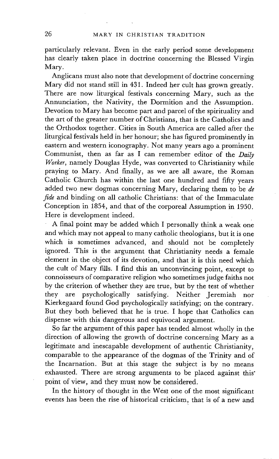particularly relevant. Even in the early period some development has clearly taken place in doctrine concerning the Blessed Virgin Mary.

Anglicans must also note that development of doctrine concerning Mary did not stand still in 431. Indeed her cult has grown greatly. There are now liturgical festivals concerning Mary, such as the Annunciation, the Nativity, the Dormition and the Assumption. Devotion to Mary has become part and parcel of the spirituality and the art of the greater number of Christians, that is the Catholics and the Orthodox together. Cities in South America are called after the liturgical festivals held in her honour; she has figured prominently in eastern and western iconography. Not many years ago a prominent Communist, then as far as I can remember editor of the *Daily Worker,* namely Douglas Hyde, was converted to Christianity while praying to Mary. And finally, as we are all aware, the Roman Catholic Church has within the last one hundred and fifty years added two new dogmas concerning Mary, declaring them to *be de fide* and binding on all catholic Christians: that of the Immaculate Conception in 1854, and that of the corporeal Assumption in 1950. Here is development indeed.

A final point may be added which I personally think a weak one and which may not appeal to many catholic theologians, but it is one which is sometimes advanced, and should not be completely ignored. This is the argument that Christianity needs a female element in the object of its devotion, and that it is this need which the cult of Mary fills. I find this an unconvincing point, except to connoisseurs of comparative religion who sometimes judge faiths not by the criterion of whether they are true, but by the test of whether they are psychologically satisfying. Neither Jeremiah nor Kierkegaard found God psychologically satisfying; on the contrary. But they both believed that he is true. I hope that Catholics can dispense with this dangerous and equivocal argument.

So far the argument of this paper has tended almost wholly in the direction of allowing the growth of doctrine concerning Mary as a legitimate and inescapable development of authentic Christianity, comparable to the appearance of the dogmas of the Trinity and of the Incarnation. But at this stage the subject is by no means exhausted. There are strong arguments to be placed against this" point of view, and they must now be considered.

In the history of thought in the West one of the most significant events has been the rise of historical criticism, that is of a new and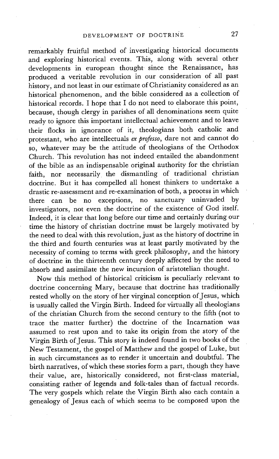remarkably fruitful method of investigating historical documents and exploring historical events. This, along with several other developments in european thought since the Renaissance, has produced a veritable revolution in our consideration of all past history, and not least in our estimate of Christianity considered as an historical phenomenon, and the bible considered as a collection of historical records. I hope that I do not need to elaborate this point, because, though clergy in parishes of all denominations seem quite ready to ignore this important intellectual achievement and to leave their flocks in ignorance of it, theologians both catholic and protestant, who are intellectuals *ex professo,* dare not and cannot do so, whatever may be the attitude of theologians of the Orthodox Church. This revolution has not indeed entailed the abandonment of the bible as an indispensable original authority for the christian faith, nor necessarily the dismantling of traditional christian doctrine. But it has compelled all honest thinkers to undertake a drastic re-assessment and re-examination of both, a process in which there can be no exceptions, no sanctuary uninvaded by investigators, not even the doctrine of the existence of God itself. Indeed, it is clear that long before our time and certainly during our time the history of christian doctrine must be largely motivated by the need to deal with this revolution, just as the history of doctrine in the third and fourth centuries was at least partly motivated by the necessity of coming to terms with greek philosophy, and the history of doctrine in the thirteenth century deeply affected by the need to absorb and assimilate the new incursion of aristotelian thought.

Now this method of historical criticism is peculiarly relevant to doctrine concerning Mary, because that doctrine has traditionally rested wholly on the story of her virginal conception of Jesus, which is usually called the Virgin Birth. Indeed for virtually all theologians of the christian Church from the second century to the fifth (not to trace the matter further) the doctrine of the Incarnation was assumed to rest upon and to take its origin from the story of the Virgin Birth of Jesus. This story is indeed found in two books of the New Testament, the gospel of Matthew and the gospel of Luke, but in such circumstances as to render it uncertain and doubtful. The birth narratives, of which these stories form a part, though they have their value, are, historically considered, not first-class material, consisting rather of legends and folk-tales than of factual records. The very gospels which relate the Virgin Birth also each contain a genealogy of Jesus each of which seems to be composed upon the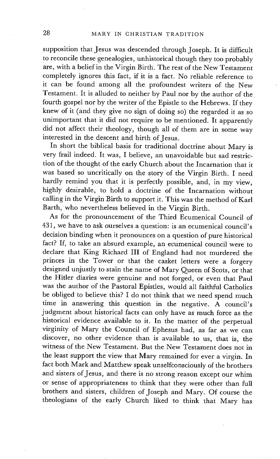supposition that Jesus was descended through Joseph. It is difficult to reconcile these genealogies, unhistorical though they too probably are, with a belief in the Virgin Birth. The rest of the New Testament completely ignores this fact, if it is a fact. No reliable reference to it can be found among all the profoundest writers of the New Testament. It is alluded to neither by Paul nor by the author of the fourth gospel nor by the writer of the Epistle to the Hebrews. If they knew of it (and they give no sign of doing so) the regarded it as so unimportant that it did not require to be mentioned. It apparently did not affect their theology, though all of them are in some way interested in the descent and birth of Jesus.

In short the biblical basis for traditional doctrine about Mary is very frail indeed. It was, I believe, an unavoidable but sad restriction of the thought of the early Church about the Incarnation that it was based so uncritically on the story of the Virgin Birth. I need hardly remind you that it is perfectly possible, and, in my view, highly desirable, to hold a doctrine of the Incarnation without calling in the Virgin Birth to support it. This was the method of Karl Barth, who nevertheless believed in the Virgin Birth.

As for the pronouncement of the Third Ecumenical Council of 431, we have to ask ourselves a question: is an ecumenical council's decision binding when it pronounces on a question of pure historical fact? If, to take an absurd example, an ecumenical council were to declare that King Richard III of England had not murdered the princes in the Tower or that the casket letters were a forgery designed unjustly to stain the name of Mary Queen of Scots, or that the Hitler diaries were genuine and not forged, or even that Paul was the author of the Pastoral Epistles, would all faithful Catholics be obliged to believe this? I do not think that we need spend much time in answering this question in the negative. A council's judgment about historical facts can only have as much force as the historical evidence available to it: In the matter of the perpetual virginity of Mary the Council of Ephesus had, as far as we can discover, no other evidence than is available to us, that is, the witness of the New Testament. But the New Testament does not in the least support the view that Mary remained for ever a virgin. In fact both Mark and Matthew speak unselfconsciously of the brothers and sisters of Jesus, and there is no strong reason except our whim or sense of appropriateness to think that they were other than full brothers and sisters, children of Joseph and Mary. Of course the theologians of the early Church liked to think that Mary has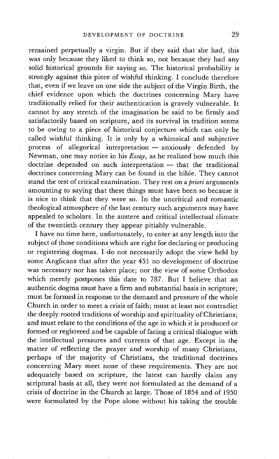remained perpetually a virgin. But if they said that she had, this was only because they liked to think so, not because they had any solid historical grounds for saying so. The historical probability is strongly against this piece of wishful thinking. I conclude therefore that, even if we leave on one side the subject of the Virgin Birth, the chief evidence upon which the doctrines concerning Mary have traditionally relied for their authentication is gravely vulnerable. It cannot by any stretch of the imagination be said to be firmly and satisfactorily based on scripture, and its survival in tradition seems to be owing to a piece of historical conjecture which can only be called wishful thinking. It is only by a whimsical and subjective process of allegorical interpretation - anxiously defended by Newman, one may notice in his *Essay,* as he realized how much this doctrine depended on such interpretation - that the traditional doctrines concerning Mary can be found in the bible. They cannot stand the test of critical examination. They rest on *a priori* arguments amounting to saying that these things must have been so because it is nice to think that they were so. In the uncritical and romantic theological atmosphere of the last century such arguments may have appealed to scholars. In the austere and critical intellectual climate of the twentieth century they appear pitiably vulnerable.

I have no time here, unfortunately, to enter at any length into the subject of those conditions which are right for declaring or producing or registering dogmas. I do not necessarily adopt the view held by some'Anglicans that after the year 451 no development of doctrine was necessary nor has taken place; nor the view of some Orthodox which merely postpones this date to 787. But I believe that an authentic dogma must have a firm and substantial basis in scripture; must be formed in response to the demand and pressure of the whole Church in order to meet a crisis of faith; must at least not contradict the deeply rooted traditions of worship and spirituality of Christians; and must relate to the conditions of the age in which it is produced or formed or registered and be capable of facing a critical dialogue with the intellectual pressures and currents of that age. Except in the matter of reflecting the prayer and worship of many Christians, perhaps of the majority of Christians, the traditional doctrines concerning Mary meet none of these requirements. They are not adequately based on scripture, the latest can hardly claim any scriptural basis at all, they were not formulated at the demand of a crisis of doctrine in the Church at large. Those of 1854 and of 1950 were formulated by the Pope alone without his taking the trouble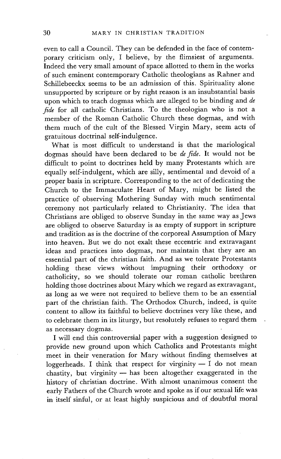even to call a Council. They can be defended in the face of contemporary criticism only, I believe, by the flimsiest of arguments. Indeed the very small amount of space allotted to them in the works of such eminent contemporary Catholic theologians as Rahner and Schillebeeckx seems to be an admission of this. Spirituality alone unsupported by scripture or by right reason is an insubstantial basis upon which to teach dogmas which are alleged to be binding and *de fide* for all catholic Christians. To the theologian who is not a member of the Roman Catholic Church these dogmas, and with them much of the cult of the Blessed Virgin Mary, seem acts of gratuitous doctrinal self-indulgence.

What is most difficult to understand is that the mariological dogmas should have been declared to be *de fide.* It would not be difficult to point to doctrines held by many Protestants which are equally self-indulgent, which are silly, sentimental and devoid of a proper basis in scripture. Corresponding to the act of dedicating the Church to the Immaculate Heart of Mary, might be listed the practice of observing Mothering Sunday with much sentimental ceremony not particularly related to Christianity. The idea that Christians are obliged to observe Sunday in the same way as Jews are obliged to observe Saturday is as empty of support in scripture and tradition as is the doctrine of the corporeal Assumption of Mary into heaven. But we do not exalt these eccentric and extravagant ideas and practices into dogmas, nor maintain that they are an essential part of the christian faith. And as we tolerate Protestants holding these views without impugning their orthodoxy or catholicity, so we should tolerate our roman catholic brethren holding those doctrines about Mary which we regard as extravagant, as long as we were not required to believe them to be an essential part of the christian faith. The Orthodox Church, indeed, is quite content to allow its faithful to believe doctrines very like these, and to celebrate them in its liturgy, but resolutely refuses to regard them as necessary dogmas.

I will end this controversial paper with a suggestion designed to provide new ground upon which Catholics and Protestants might meet in their veneration for Mary without finding themselves at loggerheads. I think that respect for virginity  $- I$  do not mean chastity, but virginity  $-$  has been altogether exaggerated in the history of christian doctrine. With almost unanimous consent the early Fathers of the Church wrote and spoke as if our sexual life was in itself sinful, or at least highly suspicious and of doubtful moral